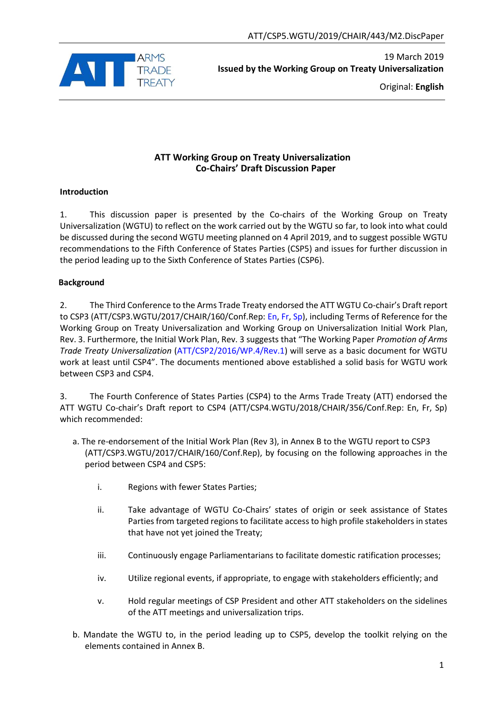

Original: **English**

## **ATT Working Group on Treaty Universalization Co-Chairs' Draft Discussion Paper**

#### **Introduction**

1. This discussion paper is presented by the Co-chairs of the Working Group on Treaty Universalization (WGTU) to reflect on the work carried out by the WGTU so far, to look into what could be discussed during the second WGTU meeting planned on 4 April 2019, and to suggest possible WGTU recommendations to the Fifth Conference of States Parties (CSP5) and issues for further discussion in the period leading up to the Sixth Conference of States Parties (CSP6).

#### **Background**

2. The Third Conference to the Arms Trade Treaty endorsed the ATT WGTU Co-chair's Draft report to CSP3 (ATT/CSP3.WGTU/2017/CHAIR/160/Conf.Rep: En, Fr, Sp), including Terms of Reference for the Working Group on Treaty Universalization and Working Group on Universalization Initial Work Plan, Rev. 3. Furthermore, the Initial Work Plan, Rev. 3 suggests that "The Working Paper *Promotion of Arms Trade Treaty Universalization* (ATT/CSP2/2016/WP.4/Rev.1) will serve as a basic document for WGTU work at least until CSP4". The documents mentioned above established a solid basis for WGTU work between CSP3 and CSP4.

3. The Fourth Conference of States Parties (CSP4) to the Arms Trade Treaty (ATT) endorsed the ATT WGTU Co-chair's Draft report to CSP4 (ATT/CSP4.WGTU/2018/CHAIR/356/Conf.Rep: En, Fr, Sp) which recommended:

- a. The re-endorsement of the Initial Work Plan (Rev 3), in Annex B to the WGTU report to CSP3 (ATT/CSP3.WGTU/2017/CHAIR/160/Conf.Rep), by focusing on the following approaches in the period between CSP4 and CSP5:
	- i. Regions with fewer States Parties;
	- ii. Take advantage of WGTU Co-Chairs' states of origin or seek assistance of States Parties from targeted regions to facilitate access to high profile stakeholders in states that have not yet joined the Treaty;
	- iii. Continuously engage Parliamentarians to facilitate domestic ratification processes;
	- iv. Utilize regional events, if appropriate, to engage with stakeholders efficiently; and
	- v. Hold regular meetings of CSP President and other ATT stakeholders on the sidelines of the ATT meetings and universalization trips.
- b. Mandate the WGTU to, in the period leading up to CSP5, develop the toolkit relying on the elements contained in Annex B.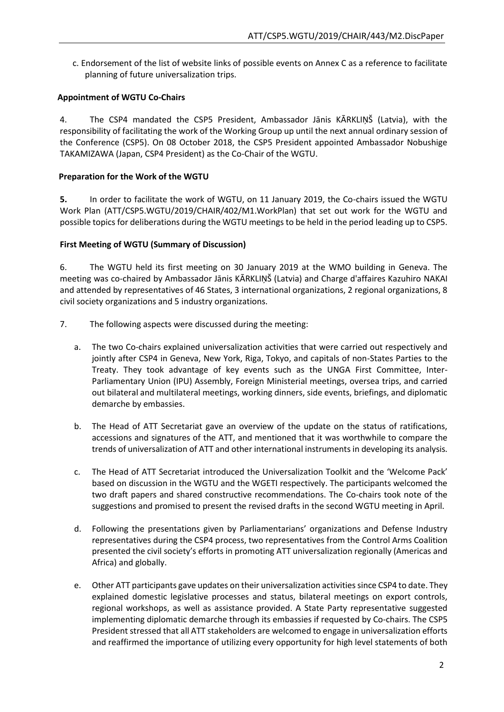c. Endorsement of the list of website links of possible events on Annex C as a reference to facilitate planning of future universalization trips.

#### **Appointment of WGTU Co-Chairs**

4. The CSP4 mandated the CSP5 President, Ambassador Jānis KĀRKLIŅŠ (Latvia), with the responsibility of facilitating the work of the Working Group up until the next annual ordinary session of the Conference (CSP5). On 08 October 2018, the CSP5 President appointed Ambassador Nobushige TAKAMIZAWA (Japan, CSP4 President) as the Co-Chair of the WGTU.

#### **Preparation for the Work of the WGTU**

**5.** In order to facilitate the work of WGTU, on 11 January 2019, the Co-chairs issued the WGTU Work Plan (ATT/CSP5.WGTU/2019/CHAIR/402/M1.WorkPlan) that set out work for the WGTU and possible topics for deliberations during the WGTU meetings to be held in the period leading up to CSP5.

#### **First Meeting of WGTU (Summary of Discussion)**

6. The WGTU held its first meeting on 30 January 2019 at the WMO building in Geneva. The meeting was co-chaired by Ambassador Jānis KĀRKLIŅŠ (Latvia) and Charge d'affaires Kazuhiro NAKAI and attended by representatives of 46 States, 3 international organizations, 2 regional organizations, 8 civil society organizations and 5 industry organizations.

- 7. The following aspects were discussed during the meeting:
	- a. The two Co-chairs explained universalization activities that were carried out respectively and jointly after CSP4 in Geneva, New York, Riga, Tokyo, and capitals of non-States Parties to the Treaty. They took advantage of key events such as the UNGA First Committee, Inter-Parliamentary Union (IPU) Assembly, Foreign Ministerial meetings, oversea trips, and carried out bilateral and multilateral meetings, working dinners, side events, briefings, and diplomatic demarche by embassies.
	- b. The Head of ATT Secretariat gave an overview of the update on the status of ratifications, accessions and signatures of the ATT, and mentioned that it was worthwhile to compare the trends of universalization of ATT and other international instruments in developing its analysis.
	- c. The Head of ATT Secretariat introduced the Universalization Toolkit and the 'Welcome Pack' based on discussion in the WGTU and the WGETI respectively. The participants welcomed the two draft papers and shared constructive recommendations. The Co-chairs took note of the suggestions and promised to present the revised drafts in the second WGTU meeting in April.
	- d. Following the presentations given by Parliamentarians' organizations and Defense Industry representatives during the CSP4 process, two representatives from the Control Arms Coalition presented the civil society's efforts in promoting ATT universalization regionally (Americas and Africa) and globally.
	- e. Other ATT participants gave updates on their universalization activities since CSP4 to date. They explained domestic legislative processes and status, bilateral meetings on export controls, regional workshops, as well as assistance provided. A State Party representative suggested implementing diplomatic demarche through its embassies if requested by Co-chairs. The CSP5 President stressed that all ATT stakeholders are welcomed to engage in universalization efforts and reaffirmed the importance of utilizing every opportunity for high level statements of both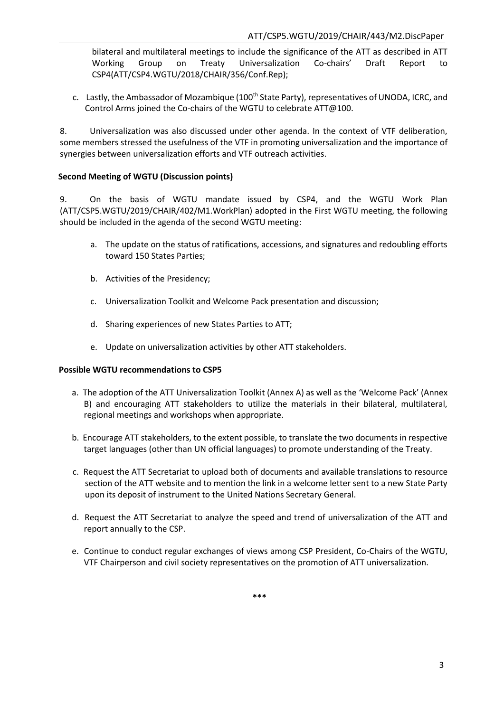bilateral and multilateral meetings to include the significance of the ATT as described in ATT Working Group on Treaty Universalization Co-chairs' Draft Report to CSP4(ATT/CSP4.WGTU/2018/CHAIR/356/Conf.Rep);

c. Lastly, the Ambassador of Mozambique (100<sup>th</sup> State Party), representatives of UNODA, ICRC, and Control Arms joined the Co-chairs of the WGTU to celebrate ATT@100.

8. Universalization was also discussed under other agenda. In the context of VTF deliberation, some members stressed the usefulness of the VTF in promoting universalization and the importance of synergies between universalization efforts and VTF outreach activities.

#### **Second Meeting of WGTU (Discussion points)**

9. On the basis of WGTU mandate issued by CSP4, and the WGTU Work Plan (ATT/CSP5.WGTU/2019/CHAIR/402/M1.WorkPlan) adopted in the First WGTU meeting, the following should be included in the agenda of the second WGTU meeting:

- a. The update on the status of ratifications, accessions, and signatures and redoubling efforts toward 150 States Parties;
- b. Activities of the Presidency;
- c. Universalization Toolkit and Welcome Pack presentation and discussion;
- d. Sharing experiences of new States Parties to ATT;
- e. Update on universalization activities by other ATT stakeholders.

#### **Possible WGTU recommendations to CSP5**

- a. The adoption of the ATT Universalization Toolkit (Annex A) as well as the 'Welcome Pack' (Annex B) and encouraging ATT stakeholders to utilize the materials in their bilateral, multilateral, regional meetings and workshops when appropriate.
- b. Encourage ATT stakeholders, to the extent possible, to translate the two documents in respective target languages (other than UN official languages) to promote understanding of the Treaty.
- c. Request the ATT Secretariat to upload both of documents and available translations to resource section of the ATT website and to mention the link in a welcome letter sent to a new State Party upon its deposit of instrument to the United Nations Secretary General.
- d. Request the ATT Secretariat to analyze the speed and trend of universalization of the ATT and report annually to the CSP.
- e. Continue to conduct regular exchanges of views among CSP President, Co-Chairs of the WGTU, VTF Chairperson and civil society representatives on the promotion of ATT universalization.

**\*\*\***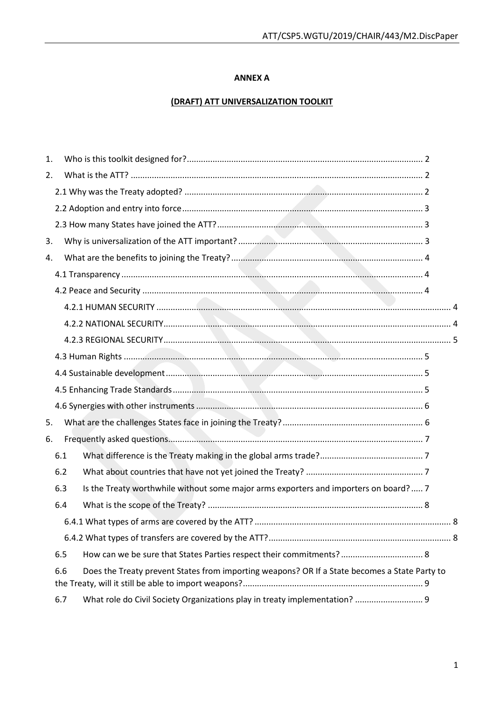#### **ANNEX A**

## **(DRAFT) ATT UNIVERSALIZATION TOOLKIT**

| 1. |     |                                                                                               |  |  |
|----|-----|-----------------------------------------------------------------------------------------------|--|--|
| 2. |     |                                                                                               |  |  |
|    |     |                                                                                               |  |  |
|    |     |                                                                                               |  |  |
|    |     |                                                                                               |  |  |
| 3. |     |                                                                                               |  |  |
| 4. |     |                                                                                               |  |  |
|    |     |                                                                                               |  |  |
|    |     |                                                                                               |  |  |
|    |     |                                                                                               |  |  |
|    |     |                                                                                               |  |  |
|    |     |                                                                                               |  |  |
|    |     |                                                                                               |  |  |
|    |     |                                                                                               |  |  |
|    |     |                                                                                               |  |  |
|    |     |                                                                                               |  |  |
| 5. |     |                                                                                               |  |  |
| 6. |     |                                                                                               |  |  |
|    | 6.1 |                                                                                               |  |  |
|    | 6.2 |                                                                                               |  |  |
|    | 6.3 | Is the Treaty worthwhile without some major arms exporters and importers on board?  7         |  |  |
|    | 6.4 |                                                                                               |  |  |
|    |     |                                                                                               |  |  |
|    |     |                                                                                               |  |  |
|    | 6.5 | How can we be sure that States Parties respect their commitments?  8                          |  |  |
|    | 6.6 | Does the Treaty prevent States from importing weapons? OR If a State becomes a State Party to |  |  |
|    | 6.7 | What role do Civil Society Organizations play in treaty implementation?  9                    |  |  |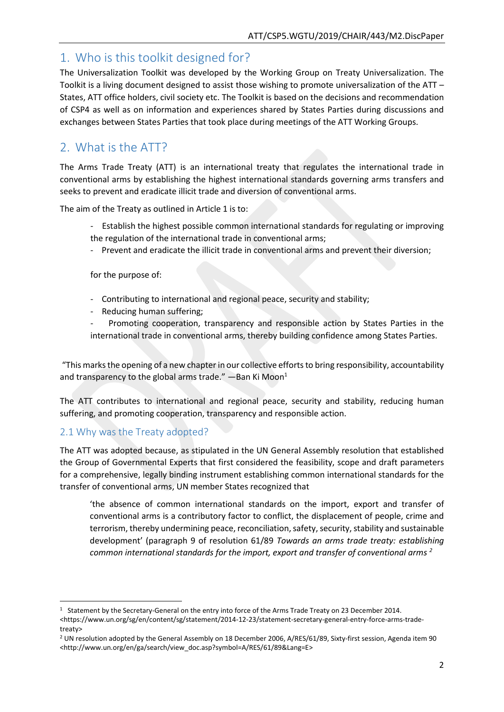## <span id="page-4-0"></span>1. Who is this toolkit designed for?

The Universalization Toolkit was developed by the Working Group on Treaty Universalization. The Toolkit is a living document designed to assist those wishing to promote universalization of the ATT – States, ATT office holders, civil society etc. The Toolkit is based on the decisions and recommendation of CSP4 as well as on information and experiences shared by States Parties during discussions and exchanges between States Parties that took place during meetings of the ATT Working Groups.

# <span id="page-4-1"></span>2. What is the ATT?

The Arms Trade Treaty (ATT) is an international treaty that regulates the international trade in conventional arms by establishing the highest international standards governing arms transfers and seeks to prevent and eradicate illicit trade and diversion of conventional arms.

The aim of the Treaty as outlined in Article 1 is to:

- Establish the highest possible common international standards for regulating or improving the regulation of the international trade in conventional arms;
- Prevent and eradicate the illicit trade in conventional arms and prevent their diversion;

for the purpose of:

- Contributing to international and regional peace, security and stability;
- Reducing human suffering;
- Promoting cooperation, transparency and responsible action by States Parties in the international trade in conventional arms, thereby building confidence among States Parties.

"This marks the opening of a new chapter in our collective efforts to bring responsibility, accountability and transparency to the global arms trade."  $-$ Ban Ki Moon $<sup>1</sup>$ </sup>

The ATT contributes to international and regional peace, security and stability, reducing human suffering, and promoting cooperation, transparency and responsible action.

## <span id="page-4-2"></span>2.1 Why was the Treaty adopted?

The ATT was adopted because, as stipulated in the UN General Assembly resolution that established the Group of Governmental Experts that first considered the feasibility, scope and draft parameters for a comprehensive, legally binding instrument establishing common international standards for the transfer of conventional arms, UN member States recognized that

'the absence of common international standards on the import, export and transfer of conventional arms is a contributory factor to conflict, the displacement of people, crime and terrorism, thereby undermining peace, reconciliation, safety, security, stability and sustainable development' (paragraph 9 of resolution 61/89 *Towards an arms trade treaty: establishing common international standards for the import, export and transfer of conventional arms <sup>2</sup>*

<sup>1</sup> <sup>1</sup> Statement by the Secretary-General on the entry into force of the Arms Trade Treaty on 23 December 2014.

<sup>&</sup>lt;https://www.un.org/sg/en/content/sg/statement/2014-12-23/statement-secretary-general-entry-force-arms-tradetreaty>

<sup>&</sup>lt;sup>2</sup> UN resolution adopted by the General Assembly on 18 December 2006, A/RES/61/89, Sixty-first session, Agenda item 90 <http://www.un.org/en/ga/search/view\_doc.asp?symbol=A/RES/61/89&Lang=E>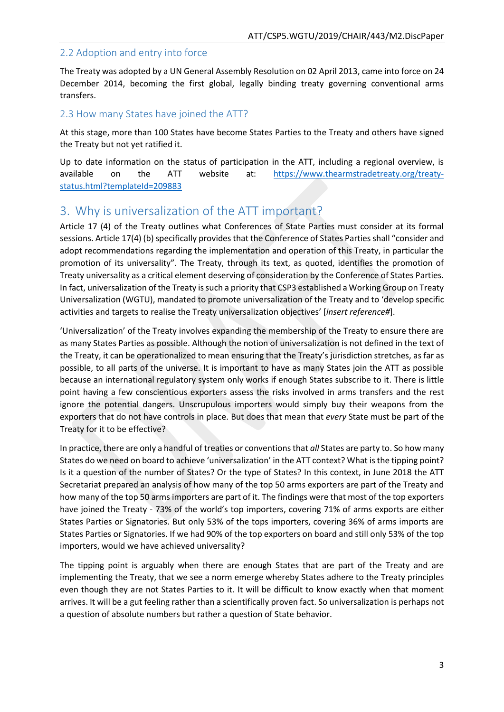## <span id="page-5-0"></span>2.2 Adoption and entry into force

The Treaty was adopted by a UN General Assembly Resolution on 02 April 2013, came into force on 24 December 2014, becoming the first global, legally binding treaty governing conventional arms transfers.

### <span id="page-5-1"></span>2.3 How many States have joined the ATT?

At this stage, more than 100 States have become States Parties to the Treaty and others have signed the Treaty but not yet ratified it.

Up to date information on the status of participation in the ATT, including a regional overview, is available on the ATT website at: [https://www.thearmstradetreaty.org/treaty](https://www.thearmstradetreaty.org/treaty-status.html?templateId=209883)[status.html?templateId=209883](https://www.thearmstradetreaty.org/treaty-status.html?templateId=209883)

# <span id="page-5-2"></span>3. Why is universalization of the ATT important?

Article 17 (4) of the Treaty outlines what Conferences of State Parties must consider at its formal sessions. Article 17(4) (b) specifically provides that the Conference of States Parties shall "consider and adopt recommendations regarding the implementation and operation of this Treaty, in particular the promotion of its universality". The Treaty, through its text, as quoted, identifies the promotion of Treaty universality as a critical element deserving of consideration by the Conference of States Parties. In fact, universalization of the Treaty is such a priority that CSP3 established a Working Group on Treaty Universalization (WGTU), mandated to promote universalization of the Treaty and to 'develop specific activities and targets to realise the Treaty universalization objectives' [*insert reference#*].

'Universalization' of the Treaty involves expanding the membership of the Treaty to ensure there are as many States Parties as possible. Although the notion of universalization is not defined in the text of the Treaty, it can be operationalized to mean ensuring that the Treaty's jurisdiction stretches, as far as possible, to all parts of the universe. It is important to have as many States join the ATT as possible because an international regulatory system only works if enough States subscribe to it. There is little point having a few conscientious exporters assess the risks involved in arms transfers and the rest ignore the potential dangers. Unscrupulous importers would simply buy their weapons from the exporters that do not have controls in place. But does that mean that *every* State must be part of the Treaty for it to be effective?

In practice, there are only a handful of treaties or conventions that *all* States are party to. So how many States do we need on board to achieve 'universalization' in the ATT context? What is the tipping point? Is it a question of the number of States? Or the type of States? In this context, in June 2018 the ATT Secretariat prepared an analysis of how many of the top 50 arms exporters are part of the Treaty and how many of the top 50 arms importers are part of it. The findings were that most of the top exporters have joined the Treaty - 73% of the world's top importers, covering 71% of arms exports are either States Parties or Signatories. But only 53% of the tops importers, covering 36% of arms imports are States Parties or Signatories. If we had 90% of the top exporters on board and still only 53% of the top importers, would we have achieved universality?

The tipping point is arguably when there are enough States that are part of the Treaty and are implementing the Treaty, that we see a norm emerge whereby States adhere to the Treaty principles even though they are not States Parties to it. It will be difficult to know exactly when that moment arrives. It will be a gut feeling rather than a scientifically proven fact. So universalization is perhaps not a question of absolute numbers but rather a question of State behavior.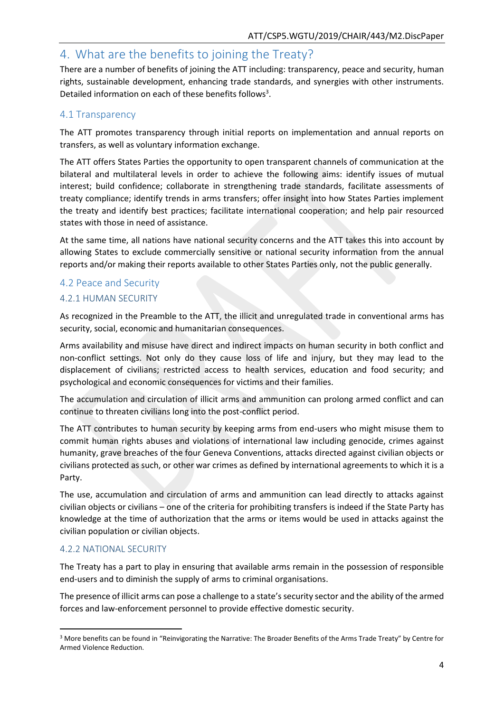# <span id="page-6-0"></span>4. What are the benefits to joining the Treaty?

There are a number of benefits of joining the ATT including: transparency, peace and security, human rights, sustainable development, enhancing trade standards, and synergies with other instruments. Detailed information on each of these benefits follows<sup>3</sup>.

## <span id="page-6-1"></span>4.1 Transparency

The ATT promotes transparency through initial reports on implementation and annual reports on transfers, as well as voluntary information exchange.

The ATT offers States Parties the opportunity to open transparent channels of communication at the bilateral and multilateral levels in order to achieve the following aims: identify issues of mutual interest; build confidence; collaborate in strengthening trade standards, facilitate assessments of treaty compliance; identify trends in arms transfers; offer insight into how States Parties implement the treaty and identify best practices; facilitate international cooperation; and help pair resourced states with those in need of assistance.

At the same time, all nations have national security concerns and the ATT takes this into account by allowing States to exclude commercially sensitive or national security information from the annual reports and/or making their reports available to other States Parties only, not the public generally.

## <span id="page-6-2"></span>4.2 Peace and Security

## <span id="page-6-3"></span>4.2.1 HUMAN SECURITY

As recognized in the Preamble to the ATT, the illicit and unregulated trade in conventional arms has security, social, economic and humanitarian consequences.

Arms availability and misuse have direct and indirect impacts on human security in both conflict and non-conflict settings. Not only do they cause loss of life and injury, but they may lead to the displacement of civilians; restricted access to health services, education and food security; and psychological and economic consequences for victims and their families.

The accumulation and circulation of illicit arms and ammunition can prolong armed conflict and can continue to threaten civilians long into the post-conflict period.

The ATT contributes to human security by keeping arms from end-users who might misuse them to commit human rights abuses and violations of international law including genocide, crimes against humanity, grave breaches of the four Geneva Conventions, attacks directed against civilian objects or civilians protected as such, or other war crimes as defined by international agreements to which it is a Party.

The use, accumulation and circulation of arms and ammunition can lead directly to attacks against civilian objects or civilians – one of the criteria for prohibiting transfers is indeed if the State Party has knowledge at the time of authorization that the arms or items would be used in attacks against the civilian population or civilian objects.

#### <span id="page-6-4"></span>4.2.2 NATIONAL SECURITY

**.** 

The Treaty has a part to play in ensuring that available arms remain in the possession of responsible end-users and to diminish the supply of arms to criminal organisations.

The presence of illicit arms can pose a challenge to a state's security sector and the ability of the armed forces and law-enforcement personnel to provide effective domestic security.

<sup>3</sup> More benefits can be found in "Reinvigorating the Narrative: The Broader Benefits of the Arms Trade Treaty" by Centre for Armed Violence Reduction.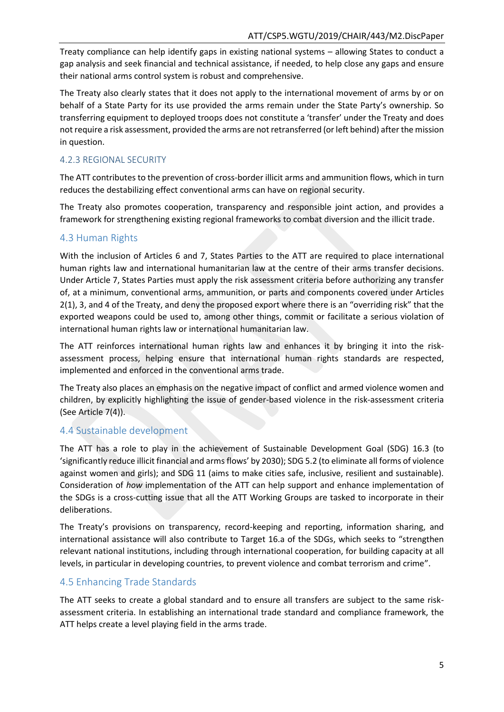Treaty compliance can help identify gaps in existing national systems – allowing States to conduct a gap analysis and seek financial and technical assistance, if needed, to help close any gaps and ensure their national arms control system is robust and comprehensive.

The Treaty also clearly states that it does not apply to the international movement of arms by or on behalf of a State Party for its use provided the arms remain under the State Party's ownership. So transferring equipment to deployed troops does not constitute a 'transfer' under the Treaty and does not require a risk assessment, provided the arms are not retransferred (or left behind) after the mission in question.

## <span id="page-7-0"></span>4.2.3 REGIONAL SECURITY

The ATT contributes to the prevention of cross-border illicit arms and ammunition flows, which in turn reduces the destabilizing effect conventional arms can have on regional security.

The Treaty also promotes cooperation, transparency and responsible joint action, and provides a framework for strengthening existing regional frameworks to combat diversion and the illicit trade.

## <span id="page-7-1"></span>4.3 Human Rights

With the inclusion of Articles 6 and 7, States Parties to the ATT are required to place international human rights law and international humanitarian law at the centre of their arms transfer decisions. Under Article 7, States Parties must apply the risk assessment criteria before authorizing any transfer of, at a minimum, conventional arms, ammunition, or parts and components covered under Articles 2(1), 3, and 4 of the Treaty, and deny the proposed export where there is an "overriding risk" that the exported weapons could be used to, among other things, commit or facilitate a serious violation of international human rights law or international humanitarian law.

The ATT reinforces international human rights law and enhances it by bringing it into the riskassessment process, helping ensure that international human rights standards are respected, implemented and enforced in the conventional arms trade.

The Treaty also places an emphasis on the negative impact of conflict and armed violence women and children, by explicitly highlighting the issue of gender-based violence in the risk-assessment criteria (See Article 7(4)).

## <span id="page-7-2"></span>4.4 Sustainable development

The ATT has a role to play in the achievement of Sustainable Development Goal (SDG) 16.3 (to 'significantly reduce illicit financial and arms flows' by 2030); SDG 5.2 (to eliminate all forms of violence against women and girls); and SDG 11 (aims to make cities safe, inclusive, resilient and sustainable). Consideration of *how* implementation of the ATT can help support and enhance implementation of the SDGs is a cross-cutting issue that all the ATT Working Groups are tasked to incorporate in their deliberations.

The Treaty's provisions on transparency, record-keeping and reporting, information sharing, and international assistance will also contribute to Target 16.a of the SDGs, which seeks to "strengthen relevant national institutions, including through international cooperation, for building capacity at all levels, in particular in developing countries, to prevent violence and combat terrorism and crime".

## <span id="page-7-3"></span>4.5 Enhancing Trade Standards

The ATT seeks to create a global standard and to ensure all transfers are subject to the same riskassessment criteria. In establishing an international trade standard and compliance framework, the ATT helps create a level playing field in the arms trade.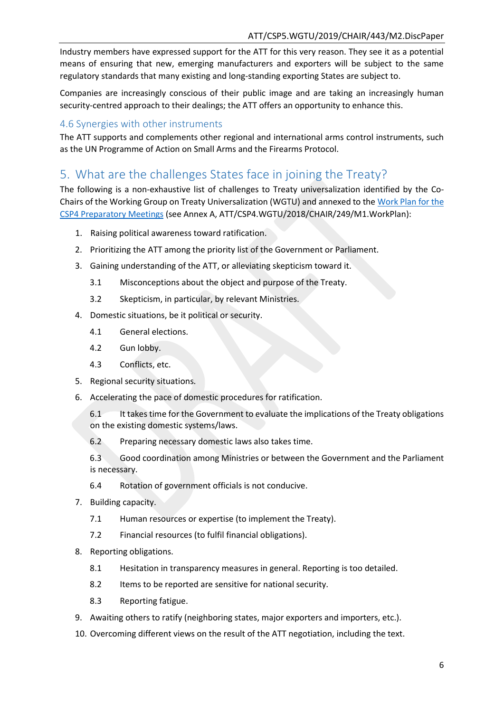Industry members have expressed support for the ATT for this very reason. They see it as a potential means of ensuring that new, emerging manufacturers and exporters will be subject to the same regulatory standards that many existing and long-standing exporting States are subject to.

Companies are increasingly conscious of their public image and are taking an increasingly human security-centred approach to their dealings; the ATT offers an opportunity to enhance this.

## <span id="page-8-0"></span>4.6 Synergies with other instruments

The ATT supports and complements other regional and international arms control instruments, such as the UN Programme of Action on Small Arms and the Firearms Protocol.

# <span id="page-8-1"></span>5. What are the challenges States face in joining the Treaty?

The following is a non-exhaustive list of challenges to Treaty universalization identified by the Co-Chairs of the Working Group on Treaty Universalization (WGTU) and annexed to the [Work Plan for the](https://www.thearmstradetreaty.org/hyper-images/file/ATT_WGTU_CSP4_Work_Plan/ATT_WGTU_CSP4_Work_Plan.pdf)  [CSP4 Preparatory Meetings](https://www.thearmstradetreaty.org/hyper-images/file/ATT_WGTU_CSP4_Work_Plan/ATT_WGTU_CSP4_Work_Plan.pdf) (see Annex A, ATT/CSP4.WGTU/2018/CHAIR/249/M1.WorkPlan):

- 1. Raising political awareness toward ratification.
- 2. Prioritizing the ATT among the priority list of the Government or Parliament.
- 3. Gaining understanding of the ATT, or alleviating skepticism toward it.
	- 3.1 Misconceptions about the object and purpose of the Treaty.
	- 3.2 Skepticism, in particular, by relevant Ministries.
- 4. Domestic situations, be it political or security.
	- 4.1 General elections.
	- 4.2 Gun lobby.
	- 4.3 Conflicts, etc.
- 5. Regional security situations.
- 6. Accelerating the pace of domestic procedures for ratification.

6.1 It takes time for the Government to evaluate the implications of the Treaty obligations on the existing domestic systems/laws.

6.2 Preparing necessary domestic laws also takes time.

6.3 Good coordination among Ministries or between the Government and the Parliament is necessary.

- 6.4 Rotation of government officials is not conducive.
- 7. Building capacity.
	- 7.1 Human resources or expertise (to implement the Treaty).
	- 7.2 Financial resources (to fulfil financial obligations).
- 8. Reporting obligations.
	- 8.1 Hesitation in transparency measures in general. Reporting is too detailed.
	- 8.2 Items to be reported are sensitive for national security.
	- 8.3 Reporting fatigue.
- 9. Awaiting others to ratify (neighboring states, major exporters and importers, etc.).
- 10. Overcoming different views on the result of the ATT negotiation, including the text.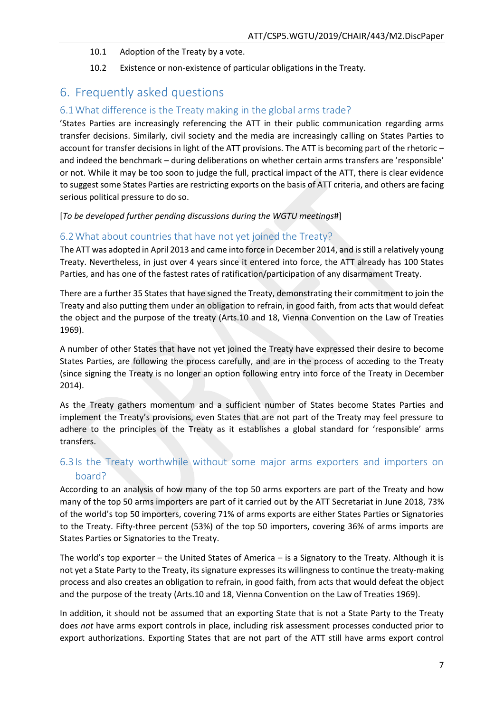#### 10.1 Adoption of the Treaty by a vote.

10.2 Existence or non-existence of particular obligations in the Treaty.

# <span id="page-9-0"></span>6. Frequently asked questions

## <span id="page-9-1"></span>6.1What difference is the Treaty making in the global arms trade?

'States Parties are increasingly referencing the ATT in their public communication regarding arms transfer decisions. Similarly, civil society and the media are increasingly calling on States Parties to account for transfer decisions in light of the ATT provisions. The ATT is becoming part of the rhetoric – and indeed the benchmark – during deliberations on whether certain arms transfers are 'responsible' or not. While it may be too soon to judge the full, practical impact of the ATT, there is clear evidence to suggest some States Parties are restricting exports on the basis of ATT criteria, and others are facing serious political pressure to do so.

[*To be developed further pending discussions during the WGTU meetings*#]

## <span id="page-9-2"></span>6.2What about countries that have not yet joined the Treaty?

The ATT was adopted in April 2013 and came into force in December 2014, and is still a relatively young Treaty. Nevertheless, in just over 4 years since it entered into force, the ATT already has 100 States Parties, and has one of the fastest rates of ratification/participation of any disarmament Treaty.

There are a further 35 States that have signed the Treaty, demonstrating their commitment to join the Treaty and also putting them under an obligation to refrain, in good faith, from acts that would defeat the object and the purpose of the treaty (Arts.10 and 18, Vienna Convention on the Law of Treaties 1969).

A number of other States that have not yet joined the Treaty have expressed their desire to become States Parties, are following the process carefully, and are in the process of acceding to the Treaty (since signing the Treaty is no longer an option following entry into force of the Treaty in December 2014).

As the Treaty gathers momentum and a sufficient number of States become States Parties and implement the Treaty's provisions, even States that are not part of the Treaty may feel pressure to adhere to the principles of the Treaty as it establishes a global standard for 'responsible' arms transfers.

## <span id="page-9-3"></span>6.3 Is the Treaty worthwhile without some major arms exporters and importers on board?

According to an analysis of how many of the top 50 arms exporters are part of the Treaty and how many of the top 50 arms importers are part of it carried out by the ATT Secretariat in June 2018, 73% of the world's top 50 importers, covering 71% of arms exports are either States Parties or Signatories to the Treaty. Fifty-three percent (53%) of the top 50 importers, covering 36% of arms imports are States Parties or Signatories to the Treaty.

The world's top exporter – the United States of America – is a Signatory to the Treaty. Although it is not yet a State Party to the Treaty, its signature expresses its willingness to continue the treaty-making process and also creates an obligation to refrain, in good faith, from acts that would defeat the object and the purpose of the treaty (Arts.10 and 18, Vienna Convention on the Law of Treaties 1969).

In addition, it should not be assumed that an exporting State that is not a State Party to the Treaty does *not* have arms export controls in place, including risk assessment processes conducted prior to export authorizations. Exporting States that are not part of the ATT still have arms export control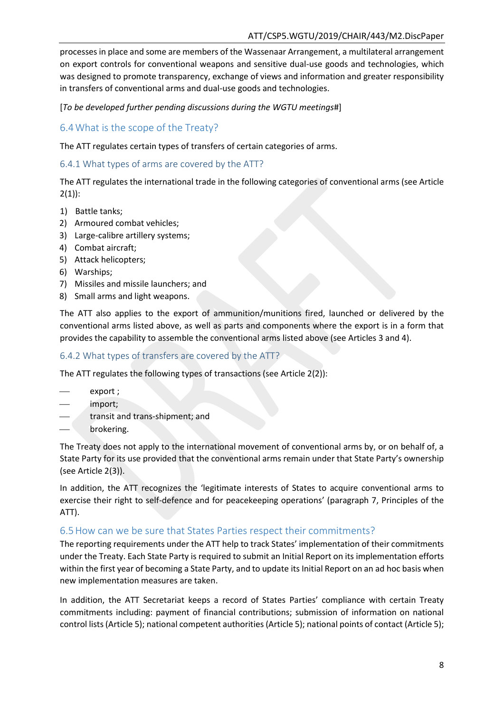processes in place and some are members of the Wassenaar Arrangement, a multilateral arrangement on export controls for conventional weapons and sensitive dual-use goods and technologies, which was designed to promote transparency, exchange of views and information and greater responsibility in transfers of conventional arms and dual-use goods and technologies.

[*To be developed further pending discussions during the WGTU meetings*#]

## <span id="page-10-0"></span>6.4What is the scope of the Treaty?

The ATT regulates certain types of transfers of certain categories of arms.

## <span id="page-10-1"></span>6.4.1 What types of arms are covered by the ATT?

The ATT regulates the international trade in the following categories of conventional arms (see Article  $2(1)$ :

- 1) Battle tanks;
- 2) Armoured combat vehicles;
- 3) Large-calibre artillery systems;
- 4) Combat aircraft;
- 5) Attack helicopters;
- 6) Warships;
- 7) Missiles and missile launchers; and
- 8) Small arms and light weapons.

The ATT also applies to the export of ammunition/munitions fired, launched or delivered by the conventional arms listed above, as well as parts and components where the export is in a form that provides the capability to assemble the conventional arms listed above (see Articles 3 and 4).

## <span id="page-10-2"></span>6.4.2 What types of transfers are covered by the ATT?

The ATT regulates the following types of transactions (see Article 2(2)):

- export ;
- import;
- transit and trans-shipment; and
- brokering.

The Treaty does not apply to the international movement of conventional arms by, or on behalf of, a State Party for its use provided that the conventional arms remain under that State Party's ownership (see Article 2(3)).

In addition, the ATT recognizes the 'legitimate interests of States to acquire conventional arms to exercise their right to self-defence and for peacekeeping operations' (paragraph 7, Principles of the ATT).

## <span id="page-10-3"></span>6.5How can we be sure that States Parties respect their commitments?

The reporting requirements under the ATT help to track States' implementation of their commitments under the Treaty. Each State Party is required to submit an Initial Report on its implementation efforts within the first year of becoming a State Party, and to update its Initial Report on an ad hoc basis when new implementation measures are taken.

In addition, the ATT Secretariat keeps a record of States Parties' compliance with certain Treaty commitments including: payment of financial contributions; submission of information on national control lists (Article 5); national competent authorities (Article 5); national points of contact (Article 5);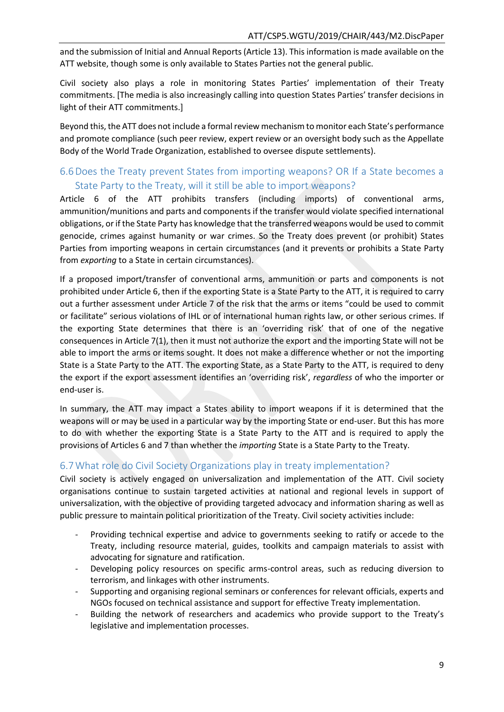and the submission of Initial and Annual Reports (Article 13). This information is made available on the ATT website, though some is only available to States Parties not the general public.

Civil society also plays a role in monitoring States Parties' implementation of their Treaty commitments. [The media is also increasingly calling into question States Parties' transfer decisions in light of their ATT commitments.]

Beyond this, the ATT does not include a formal review mechanism to monitor each State's performance and promote compliance (such peer review, expert review or an oversight body such as the Appellate Body of the World Trade Organization, established to oversee dispute settlements).

## <span id="page-11-0"></span>6.6Does the Treaty prevent States from importing weapons? OR If a State becomes a State Party to the Treaty, will it still be able to import weapons?

Article 6 of the ATT prohibits transfers (including imports) of conventional arms, ammunition/munitions and parts and components if the transfer would violate specified international obligations, or if the State Party has knowledge that the transferred weapons would be used to commit genocide, crimes against humanity or war crimes. So the Treaty does prevent (or prohibit) States Parties from importing weapons in certain circumstances (and it prevents or prohibits a State Party from *exporting* to a State in certain circumstances).

If a proposed import/transfer of conventional arms, ammunition or parts and components is not prohibited under Article 6, then if the exporting State is a State Party to the ATT, it is required to carry out a further assessment under Article 7 of the risk that the arms or items "could be used to commit or facilitate" serious violations of IHL or of international human rights law, or other serious crimes. If the exporting State determines that there is an 'overriding risk' that of one of the negative consequences in Article 7(1), then it must not authorize the export and the importing State will not be able to import the arms or items sought. It does not make a difference whether or not the importing State is a State Party to the ATT. The exporting State, as a State Party to the ATT, is required to deny the export if the export assessment identifies an 'overriding risk', *regardless* of who the importer or end-user is.

In summary, the ATT may impact a States ability to import weapons if it is determined that the weapons will or may be used in a particular way by the importing State or end-user. But this has more to do with whether the exporting State is a State Party to the ATT and is required to apply the provisions of Articles 6 and 7 than whether the *importing* State is a State Party to the Treaty.

## <span id="page-11-1"></span>6.7What role do Civil Society Organizations play in treaty implementation?

Civil society is actively engaged on universalization and implementation of the ATT. Civil society organisations continue to sustain targeted activities at national and regional levels in support of universalization, with the objective of providing targeted advocacy and information sharing as well as public pressure to maintain political prioritization of the Treaty. Civil society activities include:

- Providing technical expertise and advice to governments seeking to ratify or accede to the Treaty, including resource material, guides, toolkits and campaign materials to assist with advocating for signature and ratification.
- Developing policy resources on specific arms-control areas, such as reducing diversion to terrorism, and linkages with other instruments.
- Supporting and organising regional seminars or conferences for relevant officials, experts and NGOs focused on technical assistance and support for effective Treaty implementation.
- Building the network of researchers and academics who provide support to the Treaty's legislative and implementation processes.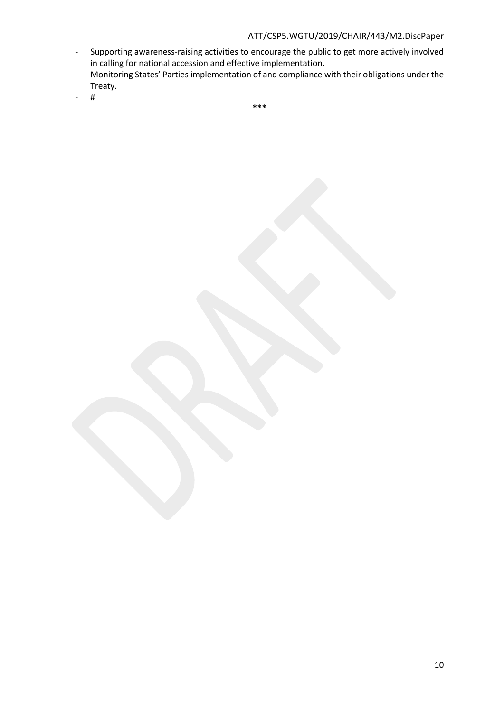- Supporting awareness-raising activities to encourage the public to get more actively involved in calling for national accession and effective implementation.
- Monitoring States' Parties implementation of and compliance with their obligations under the Treaty.
- $\#$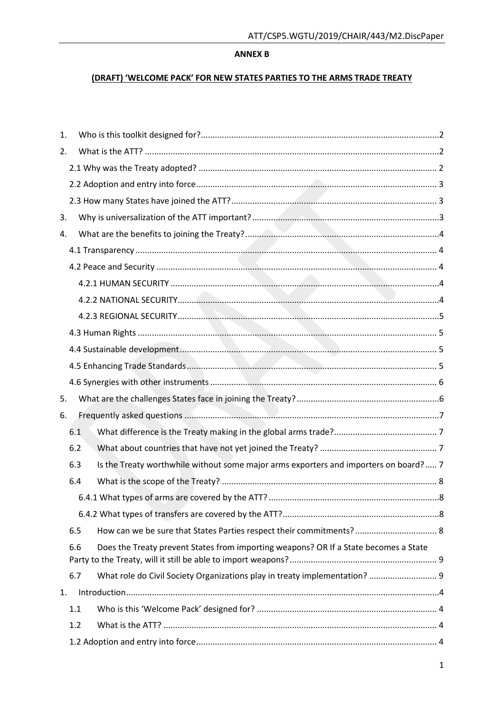#### **ANNEX B**

### (DRAFT) 'WELCOME PACK' FOR NEW STATES PARTIES TO THE ARMS TRADE TREATY

| 1. |                                                                                             |  |
|----|---------------------------------------------------------------------------------------------|--|
| 2. |                                                                                             |  |
|    |                                                                                             |  |
|    |                                                                                             |  |
|    |                                                                                             |  |
| 3. |                                                                                             |  |
| 4. |                                                                                             |  |
|    |                                                                                             |  |
|    |                                                                                             |  |
|    |                                                                                             |  |
|    |                                                                                             |  |
|    |                                                                                             |  |
|    |                                                                                             |  |
|    |                                                                                             |  |
|    |                                                                                             |  |
|    |                                                                                             |  |
| 5. |                                                                                             |  |
| 6. |                                                                                             |  |
|    | 6.1                                                                                         |  |
|    | 6.2                                                                                         |  |
|    | Is the Treaty worthwhile without some major arms exporters and importers on board? 7<br>6.3 |  |
|    | 6.4                                                                                         |  |
|    |                                                                                             |  |
|    |                                                                                             |  |
|    | How can we be sure that States Parties respect their commitments? 8<br>6.5                  |  |
|    | Does the Treaty prevent States from importing weapons? OR If a State becomes a State<br>6.6 |  |
|    | 6.7<br>What role do Civil Society Organizations play in treaty implementation?  9           |  |
| 1. |                                                                                             |  |
|    | 1.1                                                                                         |  |
|    | 1.2                                                                                         |  |
|    |                                                                                             |  |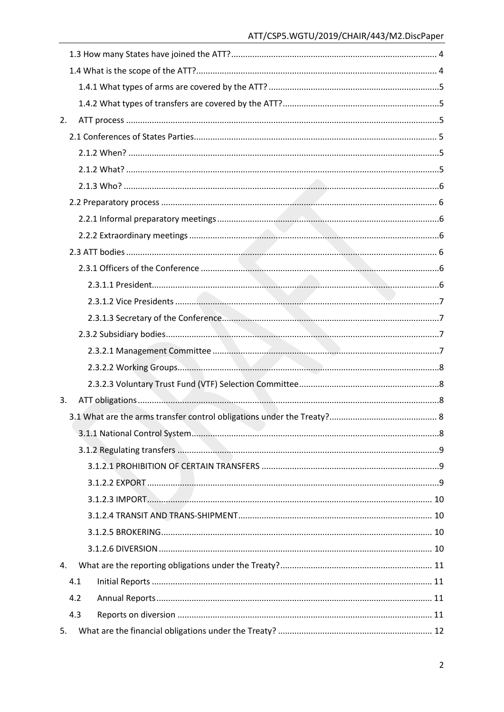| 2.  |  |
|-----|--|
|     |  |
|     |  |
|     |  |
|     |  |
|     |  |
|     |  |
|     |  |
|     |  |
|     |  |
|     |  |
|     |  |
|     |  |
|     |  |
|     |  |
|     |  |
|     |  |
| 3.  |  |
|     |  |
|     |  |
|     |  |
|     |  |
|     |  |
|     |  |
|     |  |
|     |  |
|     |  |
| 4.  |  |
| 4.1 |  |
| 4.2 |  |
| 4.3 |  |
| 5.  |  |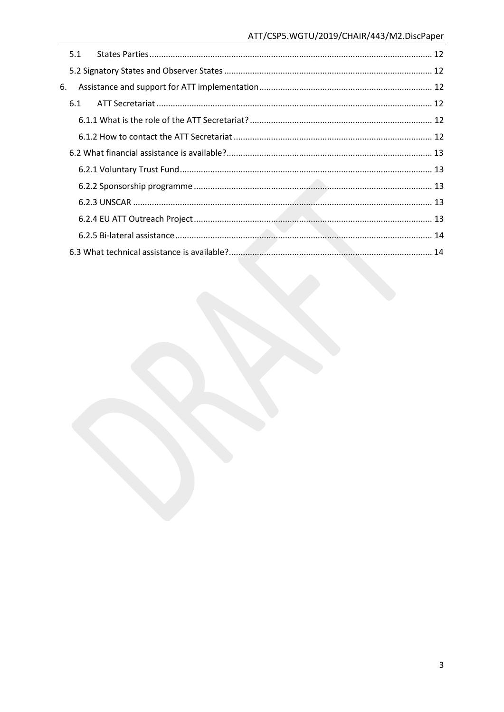|    | 5.1 |  |
|----|-----|--|
|    |     |  |
| 6. |     |  |
|    | 6.1 |  |
|    |     |  |
|    |     |  |
|    |     |  |
|    |     |  |
|    |     |  |
|    |     |  |
|    |     |  |
|    |     |  |
|    |     |  |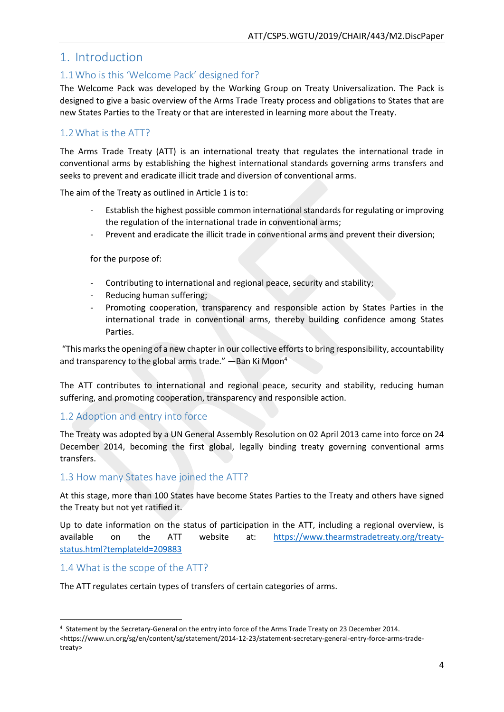## <span id="page-16-0"></span>1. Introduction

## <span id="page-16-1"></span>1.1Who is this 'Welcome Pack' designed for?

The Welcome Pack was developed by the Working Group on Treaty Universalization. The Pack is designed to give a basic overview of the Arms Trade Treaty process and obligations to States that are new States Parties to the Treaty or that are interested in learning more about the Treaty.

## <span id="page-16-2"></span>1.2What is the ATT?

The Arms Trade Treaty (ATT) is an international treaty that regulates the international trade in conventional arms by establishing the highest international standards governing arms transfers and seeks to prevent and eradicate illicit trade and diversion of conventional arms.

The aim of the Treaty as outlined in Article 1 is to:

- Establish the highest possible common international standards for regulating or improving the regulation of the international trade in conventional arms;
- Prevent and eradicate the illicit trade in conventional arms and prevent their diversion;

for the purpose of:

- Contributing to international and regional peace, security and stability;
- Reducing human suffering;
- Promoting cooperation, transparency and responsible action by States Parties in the international trade in conventional arms, thereby building confidence among States Parties.

"This marks the opening of a new chapter in our collective efforts to bring responsibility, accountability and transparency to the global arms trade." - Ban Ki Moon<sup>4</sup>

The ATT contributes to international and regional peace, security and stability, reducing human suffering, and promoting cooperation, transparency and responsible action.

## <span id="page-16-3"></span>1.2 Adoption and entry into force

The Treaty was adopted by a UN General Assembly Resolution on 02 April 2013 came into force on 24 December 2014, becoming the first global, legally binding treaty governing conventional arms transfers.

## <span id="page-16-4"></span>1.3 How many States have joined the ATT?

At this stage, more than 100 States have become States Parties to the Treaty and others have signed the Treaty but not yet ratified it.

Up to date information on the status of participation in the ATT, including a regional overview, is available on the ATT website at: [https://www.thearmstradetreaty.org/treaty](https://www.thearmstradetreaty.org/treaty-status.html?templateId=209883)[status.html?templateId=209883](https://www.thearmstradetreaty.org/treaty-status.html?templateId=209883)

#### <span id="page-16-5"></span>1.4 What is the scope of the ATT?

**.** 

The ATT regulates certain types of transfers of certain categories of arms.

<sup>4</sup> Statement by the Secretary-General on the entry into force of the Arms Trade Treaty on 23 December 2014. <https://www.un.org/sg/en/content/sg/statement/2014-12-23/statement-secretary-general-entry-force-arms-tradetreaty>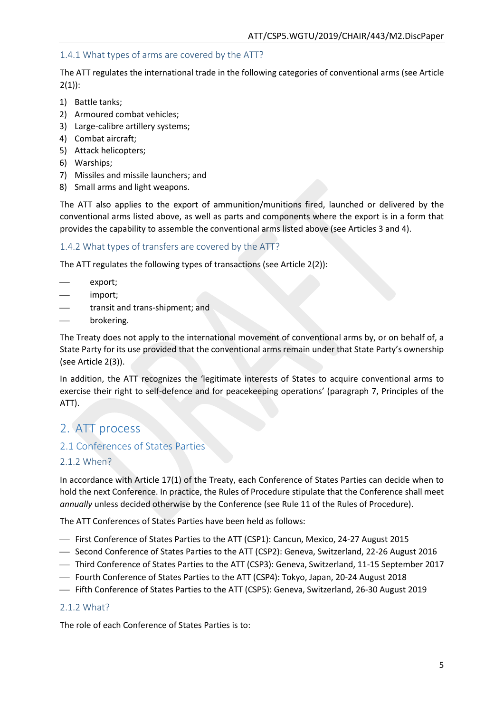## <span id="page-17-0"></span>1.4.1 What types of arms are covered by the ATT?

The ATT regulates the international trade in the following categories of conventional arms (see Article  $2(1)$ :

- 1) Battle tanks;
- 2) Armoured combat vehicles;
- 3) Large-calibre artillery systems;
- 4) Combat aircraft;
- 5) Attack helicopters;
- 6) Warships;
- 7) Missiles and missile launchers; and
- 8) Small arms and light weapons.

The ATT also applies to the export of ammunition/munitions fired, launched or delivered by the conventional arms listed above, as well as parts and components where the export is in a form that provides the capability to assemble the conventional arms listed above (see Articles 3 and 4).

#### <span id="page-17-1"></span>1.4.2 What types of transfers are covered by the ATT?

The ATT regulates the following types of transactions (see Article 2(2)):

- export;
- import;
- transit and trans-shipment; and
- brokering.

The Treaty does not apply to the international movement of conventional arms by, or on behalf of, a State Party for its use provided that the conventional arms remain under that State Party's ownership (see Article 2(3)).

In addition, the ATT recognizes the 'legitimate interests of States to acquire conventional arms to exercise their right to self-defence and for peacekeeping operations' (paragraph 7, Principles of the ATT).

## <span id="page-17-2"></span>2. ATT process

#### <span id="page-17-3"></span>2.1 Conferences of States Parties

#### <span id="page-17-4"></span>2.1.2 When?

In accordance with Article 17(1) of the Treaty, each Conference of States Parties can decide when to hold the next Conference. In practice, the Rules of Procedure stipulate that the Conference shall meet *annually* unless decided otherwise by the Conference (see Rule 11 of the Rules of Procedure).

The ATT Conferences of States Parties have been held as follows:

- First Conference of States Parties to the ATT (CSP1): Cancun, Mexico, 24-27 August 2015
- Second Conference of States Parties to the ATT (CSP2): Geneva, Switzerland, 22-26 August 2016
- Third Conference of States Parties to the ATT (CSP3): Geneva, Switzerland, 11-15 September 2017
- Fourth Conference of States Parties to the ATT (CSP4): Tokyo, Japan, 20-24 August 2018
- Fifth Conference of States Parties to the ATT (CSP5): Geneva, Switzerland, 26-30 August 2019

#### <span id="page-17-5"></span>2.1.2 What?

The role of each Conference of States Parties is to: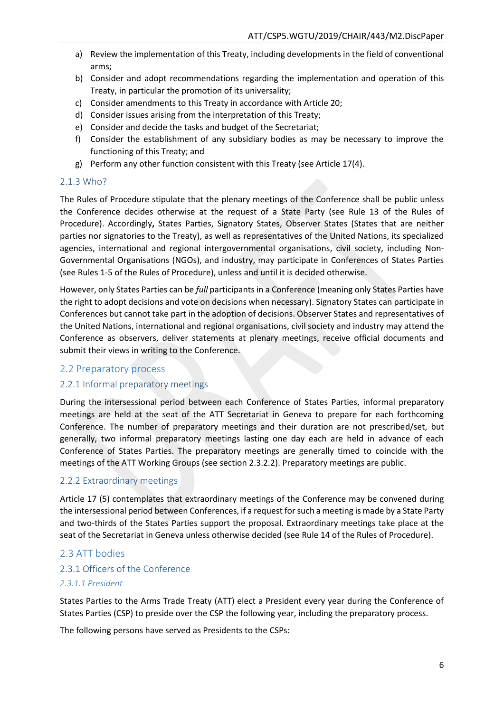- a) Review the implementation of this Treaty, including developments in the field of conventional arms;
- b) Consider and adopt recommendations regarding the implementation and operation of this Treaty, in particular the promotion of its universality;
- c) Consider amendments to this Treaty in accordance with Article 20;
- d) Consider issues arising from the interpretation of this Treaty;
- e) Consider and decide the tasks and budget of the Secretariat;
- f) Consider the establishment of any subsidiary bodies as may be necessary to improve the functioning of this Treaty; and
- g) Perform any other function consistent with this Treaty (see Article 17(4).

#### <span id="page-18-0"></span>2.1.3 Who?

The Rules of Procedure stipulate that the plenary meetings of the Conference shall be public unless the Conference decides otherwise at the request of a State Party (see Rule 13 of the Rules of Procedure). Accordingly**,** States Parties, Signatory States, Observer States (States that are neither parties nor signatories to the Treaty), as well as representatives of the United Nations, its specialized agencies, international and regional intergovernmental organisations, civil society, including Non-Governmental Organisations (NGOs), and industry, may participate in Conferences of States Parties (see Rules 1-5 of the Rules of Procedure), unless and until it is decided otherwise.

However, only States Parties can be *full* participants in a Conference (meaning only States Parties have the right to adopt decisions and vote on decisions when necessary). Signatory States can participate in Conferences but cannot take part in the adoption of decisions. Observer States and representatives of the United Nations, international and regional organisations, civil society and industry may attend the Conference as observers, deliver statements at plenary meetings, receive official documents and submit their views in writing to the Conference.

#### <span id="page-18-1"></span>2.2 Preparatory process

#### <span id="page-18-2"></span>2.2.1 Informal preparatory meetings

During the intersessional period between each Conference of States Parties, informal preparatory meetings are held at the seat of the ATT Secretariat in Geneva to prepare for each forthcoming Conference. The number of preparatory meetings and their duration are not prescribed/set, but generally, two informal preparatory meetings lasting one day each are held in advance of each Conference of States Parties. The preparatory meetings are generally timed to coincide with the meetings of the ATT Working Groups (see section 2.3.2.2). Preparatory meetings are public.

#### <span id="page-18-3"></span>2.2.2 Extraordinary meetings

Article 17 (5) contemplates that extraordinary meetings of the Conference may be convened during the intersessional period between Conferences, if a request for such a meeting is made by a State Party and two-thirds of the States Parties support the proposal. Extraordinary meetings take place at the seat of the Secretariat in Geneva unless otherwise decided (see Rule 14 of the Rules of Procedure).

#### <span id="page-18-4"></span>2.3 ATT bodies

## <span id="page-18-5"></span>2.3.1 Officers of the Conference

#### <span id="page-18-6"></span>*2.3.1.1 President*

States Parties to the Arms Trade Treaty (ATT) elect a President every year during the Conference of States Parties (CSP) to preside over the CSP the following year, including the preparatory process.

The following persons have served as Presidents to the CSPs: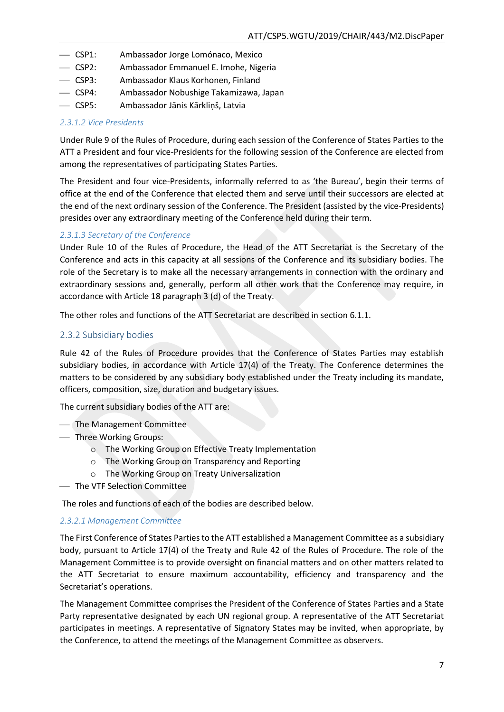- CSP1: Ambassador Jorge Lomónaco, Mexico
- CSP2: Ambassador Emmanuel E. Imohe, Nigeria
- CSP3: Ambassador Klaus Korhonen, Finland
- CSP4: Ambassador Nobushige Takamizawa, Japan
- CSP5: Ambassador Jānis Kārkliņš, Latvia

#### <span id="page-19-0"></span>*2.3.1.2 Vice Presidents*

Under Rule 9 of the Rules of Procedure, during each session of the Conference of States Parties to the ATT a President and four vice-Presidents for the following session of the Conference are elected from among the representatives of participating States Parties.

The President and four vice-Presidents, informally referred to as 'the Bureau', begin their terms of office at the end of the Conference that elected them and serve until their successors are elected at the end of the next ordinary session of the Conference. The President (assisted by the vice-Presidents) presides over any extraordinary meeting of the Conference held during their term.

#### <span id="page-19-1"></span>*2.3.1.3 Secretary of the Conference*

Under Rule 10 of the Rules of Procedure, the Head of the ATT Secretariat is the Secretary of the Conference and acts in this capacity at all sessions of the Conference and its subsidiary bodies. The role of the Secretary is to make all the necessary arrangements in connection with the ordinary and extraordinary sessions and, generally, perform all other work that the Conference may require, in accordance with Article 18 paragraph 3 (d) of the Treaty.

The other roles and functions of the ATT Secretariat are described in section 6.1.1.

#### <span id="page-19-2"></span>2.3.2 Subsidiary bodies

Rule 42 of the Rules of Procedure provides that the Conference of States Parties may establish subsidiary bodies, in accordance with Article 17(4) of the Treaty. The Conference determines the matters to be considered by any subsidiary body established under the Treaty including its mandate, officers, composition, size, duration and budgetary issues.

The current subsidiary bodies of the ATT are:

- The Management Committee
- Three Working Groups:
	- o The Working Group on Effective Treaty Implementation
	- o The Working Group on Transparency and Reporting
	- o The Working Group on Treaty Universalization
- The VTF Selection Committee

The roles and functions of each of the bodies are described below.

#### <span id="page-19-3"></span>*2.3.2.1 Management Committee*

The First Conference of States Parties to the ATT established a Management Committee as a subsidiary body, pursuant to Article 17(4) of the Treaty and Rule 42 of the Rules of Procedure. The role of the Management Committee is to provide oversight on financial matters and on other matters related to the ATT Secretariat to ensure maximum accountability, efficiency and transparency and the Secretariat's operations.

The Management Committee comprises the President of the Conference of States Parties and a State Party representative designated by each UN regional group. A representative of the ATT Secretariat participates in meetings. A representative of Signatory States may be invited, when appropriate, by the Conference, to attend the meetings of the Management Committee as observers.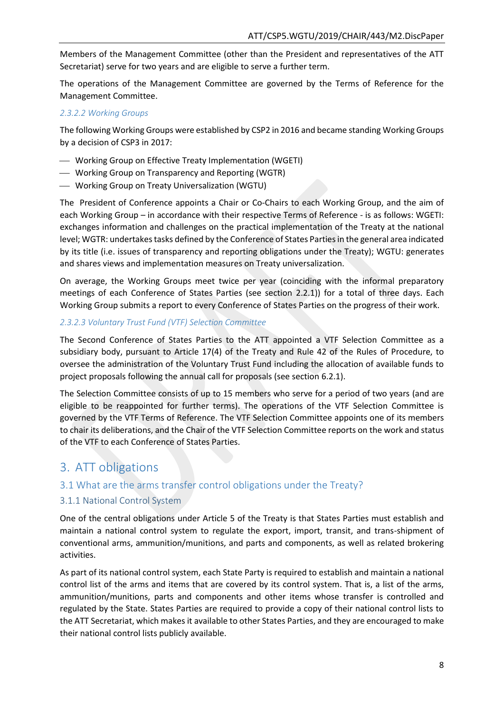Members of the Management Committee (other than the President and representatives of the ATT Secretariat) serve for two years and are eligible to serve a further term.

The operations of the Management Committee are governed by the Terms of Reference for the Management Committee.

#### <span id="page-20-0"></span>*2.3.2.2 Working Groups*

The following Working Groups were established by CSP2 in 2016 and became standing Working Groups by a decision of CSP3 in 2017:

- Working Group on Effective Treaty Implementation (WGETI)
- Working Group on Transparency and Reporting (WGTR)
- Working Group on Treaty Universalization (WGTU)

The President of Conference appoints a Chair or Co-Chairs to each Working Group, and the aim of each Working Group – in accordance with their respective Terms of Reference - is as follows: WGETI: exchanges information and challenges on the practical implementation of the Treaty at the national level; WGTR: undertakes tasks defined by the Conference of States Parties in the general area indicated by its title (i.e. issues of transparency and reporting obligations under the Treaty); WGTU: generates and shares views and implementation measures on Treaty universalization.

On average, the Working Groups meet twice per year (coinciding with the informal preparatory meetings of each Conference of States Parties (see section 2.2.1)) for a total of three days. Each Working Group submits a report to every Conference of States Parties on the progress of their work.

#### <span id="page-20-1"></span>*2.3.2.3 Voluntary Trust Fund (VTF) Selection Committee*

The Second Conference of States Parties to the ATT appointed a VTF Selection Committee as a subsidiary body, pursuant to Article 17(4) of the Treaty and Rule 42 of the Rules of Procedure, to oversee the administration of the Voluntary Trust Fund including the allocation of available funds to project proposals following the annual call for proposals (see section 6.2.1).

The Selection Committee consists of up to 15 members who serve for a period of two years (and are eligible to be reappointed for further terms). The operations of the VTF Selection Committee is governed by the VTF Terms of Reference. The VTF Selection Committee appoints one of its members to chair its deliberations, and the Chair of the VTF Selection Committee reports on the work and status of the VTF to each Conference of States Parties.

## <span id="page-20-2"></span>3. ATT obligations

## <span id="page-20-3"></span>3.1 What are the arms transfer control obligations under the Treaty?

#### <span id="page-20-4"></span>3.1.1 National Control System

One of the central obligations under Article 5 of the Treaty is that States Parties must establish and maintain a national control system to regulate the export, import, transit, and trans-shipment of conventional arms, ammunition/munitions, and parts and components, as well as related brokering activities.

As part of its national control system, each State Party is required to establish and maintain a national control list of the arms and items that are covered by its control system. That is, a list of the arms, ammunition/munitions, parts and components and other items whose transfer is controlled and regulated by the State. States Parties are required to provide a copy of their national control lists to the ATT Secretariat, which makes it available to other States Parties, and they are encouraged to make their national control lists publicly available.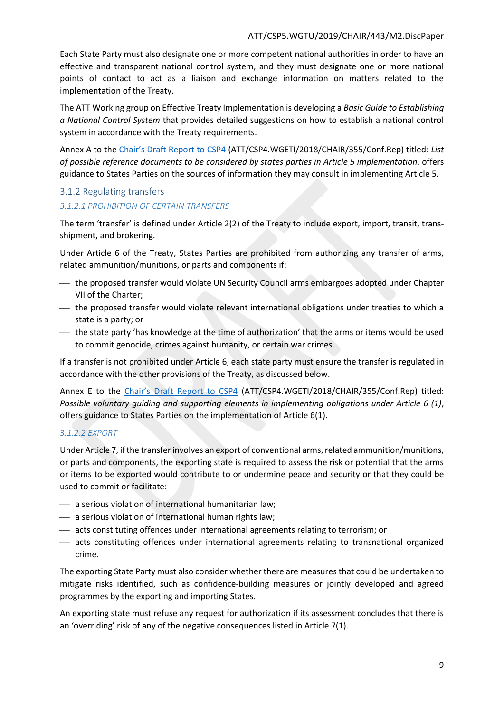Each State Party must also designate one or more competent national authorities in order to have an effective and transparent national control system, and they must designate one or more national points of contact to act as a liaison and exchange information on matters related to the implementation of the Treaty.

The ATT Working group on Effective Treaty Implementation is developing a *Basic Guide to Establishing a National Control System* that provides detailed suggestions on how to establish a national control system in accordance with the Treaty requirements.

Annex A to the [Chair's Draft Report to CSP4](https://www.thearmstradetreaty.org/hyper-images/file/ATT_CSP4_WGETI_Draft_Report_EN1/ATT_CSP4_WGETI_Draft_Report_EN.pdf) (ATT/CSP4.WGETI/2018/CHAIR/355/Conf.Rep) titled: *List of possible reference documents to be considered by states parties in Article 5 implementation*, offers guidance to States Parties on the sources of information they may consult in implementing Article 5.

#### <span id="page-21-0"></span>3.1.2 Regulating transfers

#### <span id="page-21-1"></span>*3.1.2.1 PROHIBITION OF CERTAIN TRANSFERS*

The term 'transfer' is defined under Article 2(2) of the Treaty to include export, import, transit, transshipment, and brokering.

Under Article 6 of the Treaty, States Parties are prohibited from authorizing any transfer of arms, related ammunition/munitions, or parts and components if:

- the proposed transfer would violate UN Security Council arms embargoes adopted under Chapter VII of the Charter;
- the proposed transfer would violate relevant international obligations under treaties to which a state is a party; or
- the state party 'has knowledge at the time of authorization' that the arms or items would be used to commit genocide, crimes against humanity, or certain war crimes.

If a transfer is not prohibited under Article 6, each state party must ensure the transfer is regulated in accordance with the other provisions of the Treaty, as discussed below.

Annex E to the [Chair's Draft Repo](https://www.thearmstradetreaty.org/hyper-images/file/ATT_CSP4_WGETI_Draft_Report_EN1/ATT_CSP4_WGETI_Draft_Report_EN.pdf)rt to CSP4 (ATT/CSP4.WGETI/2018/CHAIR/355/Conf.Rep) titled: *Possible voluntary guiding and supporting elements in implementing obligations under Article 6 (1)*, offers guidance to States Parties on the implementation of Article 6(1).

#### <span id="page-21-2"></span>*3.1.2.2 EXPORT*

Under Article 7, if the transfer involves an export of conventional arms, related ammunition/munitions, or parts and components, the exporting state is required to assess the risk or potential that the arms or items to be exported would contribute to or undermine peace and security or that they could be used to commit or facilitate:

- a serious violation of international humanitarian law;
- a serious violation of international human rights law;
- acts constituting offences under international agreements relating to terrorism; or
- acts constituting offences under international agreements relating to transnational organized crime.

The exporting State Party must also consider whether there are measures that could be undertaken to mitigate risks identified, such as confidence-building measures or jointly developed and agreed programmes by the exporting and importing States.

An exporting state must refuse any request for authorization if its assessment concludes that there is an 'overriding' risk of any of the negative consequences listed in Article 7(1).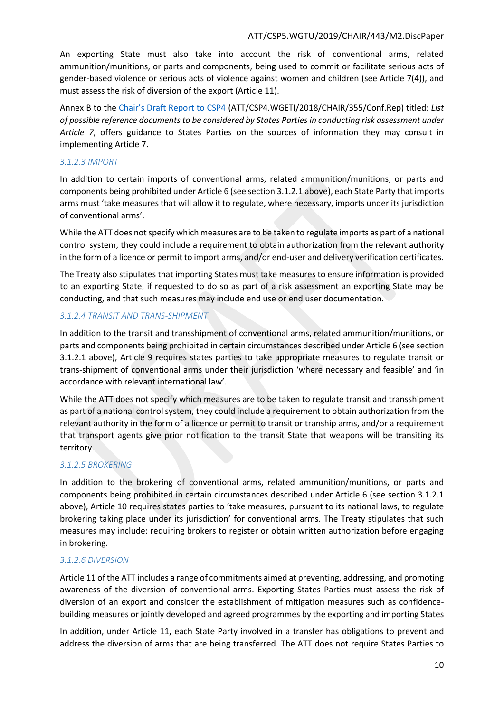An exporting State must also take into account the risk of conventional arms, related ammunition/munitions, or parts and components, being used to commit or facilitate serious acts of gender-based violence or serious acts of violence against women and children (see Article 7(4)), and must assess the risk of diversion of the export (Article 11).

Annex B to the [Chair's Draft Report to CSP4](https://www.thearmstradetreaty.org/hyper-images/file/ATT_CSP4_WGETI_Draft_Report_EN1/ATT_CSP4_WGETI_Draft_Report_EN.pdf) (ATT/CSP4.WGETI/2018/CHAIR/355/Conf.Rep) titled: *List of possible reference documents to be considered by States Partiesin conducting risk assessment under Article 7*, offers guidance to States Parties on the sources of information they may consult in implementing Article 7.

### <span id="page-22-0"></span>*3.1.2.3 IMPORT*

In addition to certain imports of conventional arms, related ammunition/munitions, or parts and components being prohibited under Article 6 (see section 3.1.2.1 above), each State Party that imports arms must 'take measures that will allow it to regulate, where necessary, imports under its jurisdiction of conventional arms'.

While the ATT does not specify which measures are to be taken to regulate imports as part of a national control system, they could include a requirement to obtain authorization from the relevant authority in the form of a licence or permit to import arms, and/or end-user and delivery verification certificates.

The Treaty also stipulates that importing States must take measures to ensure information is provided to an exporting State, if requested to do so as part of a risk assessment an exporting State may be conducting, and that such measures may include end use or end user documentation.

#### <span id="page-22-1"></span>*3.1.2.4 TRANSIT AND TRANS-SHIPMENT*

In addition to the transit and transshipment of conventional arms, related ammunition/munitions, or parts and components being prohibited in certain circumstances described under Article 6 (see section 3.1.2.1 above), Article 9 requires states parties to take appropriate measures to regulate transit or trans-shipment of conventional arms under their jurisdiction 'where necessary and feasible' and 'in accordance with relevant international law'.

While the ATT does not specify which measures are to be taken to regulate transit and transshipment as part of a national control system, they could include a requirement to obtain authorization from the relevant authority in the form of a licence or permit to transit or tranship arms, and/or a requirement that transport agents give prior notification to the transit State that weapons will be transiting its territory.

## <span id="page-22-2"></span>*3.1.2.5 BROKERING*

In addition to the brokering of conventional arms, related ammunition/munitions, or parts and components being prohibited in certain circumstances described under Article 6 (see section 3.1.2.1 above), Article 10 requires states parties to 'take measures, pursuant to its national laws, to regulate brokering taking place under its jurisdiction' for conventional arms. The Treaty stipulates that such measures may include: requiring brokers to register or obtain written authorization before engaging in brokering.

#### <span id="page-22-3"></span>*3.1.2.6 DIVERSION*

Article 11 of the ATT includes a range of commitments aimed at preventing, addressing, and promoting awareness of the diversion of conventional arms. Exporting States Parties must assess the risk of diversion of an export and consider the establishment of mitigation measures such as confidencebuilding measures or jointly developed and agreed programmes by the exporting and importing States

In addition, under Article 11, each State Party involved in a transfer has obligations to prevent and address the diversion of arms that are being transferred. The ATT does not require States Parties to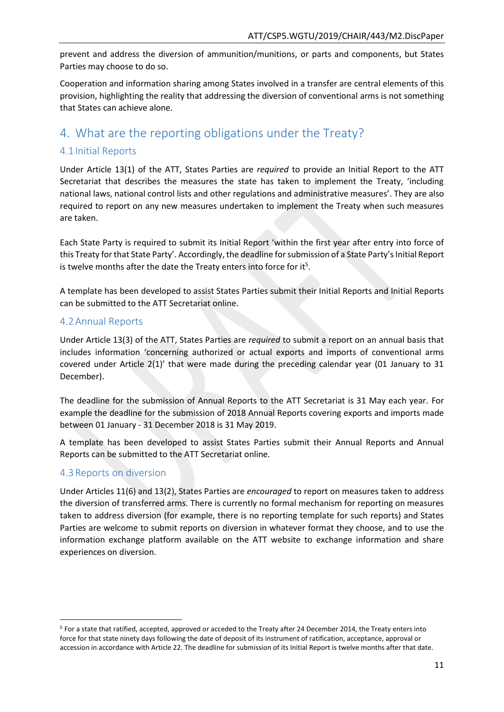prevent and address the diversion of ammunition/munitions, or parts and components, but States Parties may choose to do so.

Cooperation and information sharing among States involved in a transfer are central elements of this provision, highlighting the reality that addressing the diversion of conventional arms is not something that States can achieve alone.

# <span id="page-23-0"></span>4. What are the reporting obligations under the Treaty?

## <span id="page-23-1"></span>4.1 Initial Reports

Under Article 13(1) of the ATT, States Parties are *required* to provide an Initial Report to the ATT Secretariat that describes the measures the state has taken to implement the Treaty, 'including national laws, national control lists and other regulations and administrative measures'. They are also required to report on any new measures undertaken to implement the Treaty when such measures are taken.

Each State Party is required to submit its Initial Report 'within the first year after entry into force of this Treaty for that State Party'. Accordingly, the deadline for submission of a State Party's Initial Report is twelve months after the date the Treaty enters into force for it<sup>5</sup>.

A template has been developed to assist States Parties submit their Initial Reports and Initial Reports can be submitted to the ATT Secretariat online.

## <span id="page-23-2"></span>4.2Annual Reports

Under Article 13(3) of the ATT, States Parties are *required* to submit a report on an annual basis that includes information 'concerning authorized or actual exports and imports of conventional arms covered under Article 2(1)' that were made during the preceding calendar year (01 January to 31 December).

The deadline for the submission of Annual Reports to the ATT Secretariat is 31 May each year. For example the deadline for the submission of 2018 Annual Reports covering exports and imports made between 01 January - 31 December 2018 is 31 May 2019.

A template has been developed to assist States Parties submit their Annual Reports and Annual Reports can be submitted to the ATT Secretariat online.

## <span id="page-23-3"></span>4.3Reports on diversion

**.** 

Under Articles 11(6) and 13(2), States Parties are *encouraged* to report on measures taken to address the diversion of transferred arms. There is currently no formal mechanism for reporting on measures taken to address diversion (for example, there is no reporting template for such reports) and States Parties are welcome to submit reports on diversion in whatever format they choose, and to use the information exchange platform available on the ATT website to exchange information and share experiences on diversion.

<sup>5</sup> For a state that ratified, accepted, approved or acceded to the Treaty after 24 December 2014, the Treaty enters into force for that state ninety days following the date of deposit of its instrument of ratification, acceptance, approval or accession in accordance with Article 22. The deadline for submission of its Initial Report is twelve months after that date.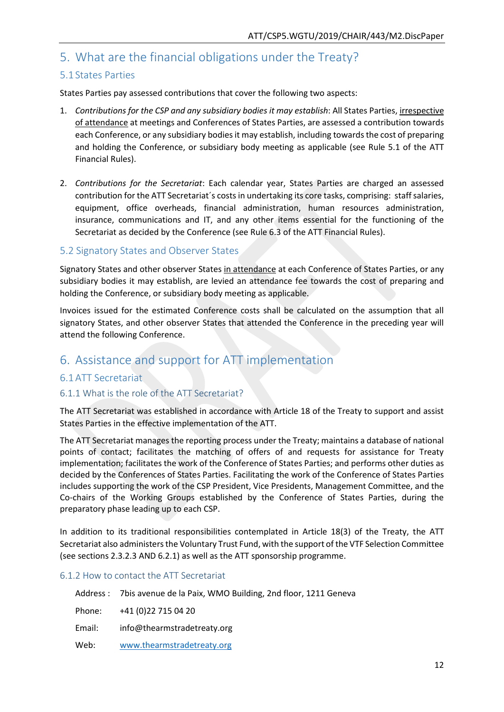## <span id="page-24-0"></span>5. What are the financial obligations under the Treaty?

## <span id="page-24-1"></span>5.1 States Parties

States Parties pay assessed contributions that cover the following two aspects:

- 1. *Contributions for the CSP and any subsidiary bodies it may establish*: All States Parties, irrespective of attendance at meetings and Conferences of States Parties, are assessed a contribution towards each Conference, or any subsidiary bodies it may establish, including towards the cost of preparing and holding the Conference, or subsidiary body meeting as applicable (see Rule 5.1 of the ATT Financial Rules).
- 2. *Contributions for the Secretariat*: Each calendar year, States Parties are charged an assessed contribution for the ATT Secretariat´s costs in undertaking its core tasks, comprising: staff salaries, equipment, office overheads, financial administration, human resources administration, insurance, communications and IT, and any other items essential for the functioning of the Secretariat as decided by the Conference (see Rule 6.3 of the ATT Financial Rules).

#### <span id="page-24-2"></span>5.2 Signatory States and Observer States

Signatory States and other observer States in attendance at each Conference of States Parties, or any subsidiary bodies it may establish, are levied an attendance fee towards the cost of preparing and holding the Conference, or subsidiary body meeting as applicable.

Invoices issued for the estimated Conference costs shall be calculated on the assumption that all signatory States, and other observer States that attended the Conference in the preceding year will attend the following Conference.

# <span id="page-24-3"></span>6. Assistance and support for ATT implementation

## <span id="page-24-4"></span>6.1ATT Secretariat

## <span id="page-24-5"></span>6.1.1 What is the role of the ATT Secretariat?

The ATT Secretariat was established in accordance with Article 18 of the Treaty to support and assist States Parties in the effective implementation of the ATT.

The ATT Secretariat manages the reporting process under the Treaty; maintains a database of national points of contact; facilitates the matching of offers of and requests for assistance for Treaty implementation; facilitates the work of the Conference of States Parties; and performs other duties as decided by the Conferences of States Parties. Facilitating the work of the Conference of States Parties includes supporting the work of the CSP President, Vice Presidents, Management Committee, and the Co-chairs of the Working Groups established by the Conference of States Parties, during the preparatory phase leading up to each CSP.

In addition to its traditional responsibilities contemplated in Article 18(3) of the Treaty, the ATT Secretariat also administers the Voluntary Trust Fund, with the support of the VTF Selection Committee (see sections 2.3.2.3 AND 6.2.1) as well as the ATT sponsorship programme.

#### <span id="page-24-6"></span>6.1.2 How to contact the ATT Secretariat

|        | Address : 7bis avenue de la Paix, WMO Building, 2nd floor, 1211 Geneva |
|--------|------------------------------------------------------------------------|
|        | Phone: $+41(0)227150420$                                               |
| Email: | info@thearmstradetreaty.org                                            |
| Web:   | www.thearmstradetreaty.org                                             |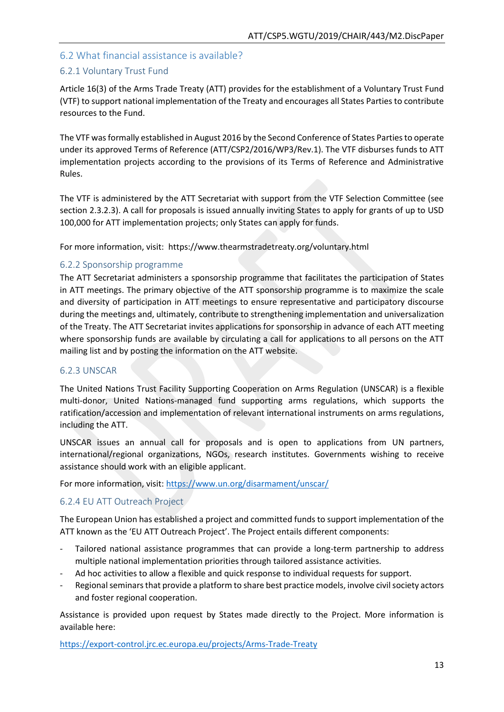## <span id="page-25-0"></span>6.2 What financial assistance is available?

## <span id="page-25-1"></span>6.2.1 Voluntary Trust Fund

Article 16(3) of the Arms Trade Treaty (ATT) provides for the establishment of a Voluntary Trust Fund (VTF) to support national implementation of the Treaty and encourages all States Parties to contribute resources to the Fund.

The VTF was formally established in August 2016 by the Second Conference of States Parties to operate under its approved Terms of Reference (ATT/CSP2/2016/WP3/Rev.1). The VTF disburses funds to ATT implementation projects according to the provisions of its Terms of Reference and Administrative Rules.

The VTF is administered by the ATT Secretariat with support from the VTF Selection Committee (see section 2.3.2.3). A call for proposals is issued annually inviting States to apply for grants of up to USD 100,000 for ATT implementation projects; only States can apply for funds.

For more information, visit: https://www.thearmstradetreaty.org/voluntary.html

#### <span id="page-25-2"></span>6.2.2 Sponsorship programme

The ATT Secretariat administers a sponsorship programme that facilitates the participation of States in ATT meetings. The primary objective of the ATT sponsorship programme is to maximize the scale and diversity of participation in ATT meetings to ensure representative and participatory discourse during the meetings and, ultimately, contribute to strengthening implementation and universalization of the Treaty. The ATT Secretariat invites applications for sponsorship in advance of each ATT meeting where sponsorship funds are available by circulating a call for applications to all persons on the ATT mailing list and by posting the information on the ATT website.

#### <span id="page-25-3"></span>6.2.3 UNSCAR

The United Nations Trust Facility Supporting Cooperation on Arms Regulation (UNSCAR) is a flexible multi-donor, United Nations-managed fund supporting arms regulations, which supports the ratification/accession and implementation of relevant international instruments on arms regulations, including the ATT.

UNSCAR issues an annual call for proposals and is open to applications from UN partners, international/regional organizations, NGOs, research institutes. Governments wishing to receive assistance should work with an eligible applicant.

For more information, visit:<https://www.un.org/disarmament/unscar/>

## <span id="page-25-4"></span>6.2.4 EU ATT Outreach Project

The European Union has established a project and committed funds to support implementation of the ATT known as the 'EU ATT Outreach Project'. The Project entails different components:

- Tailored national assistance programmes that can provide a long-term partnership to address multiple national implementation priorities through tailored assistance activities.
- Ad hoc activities to allow a flexible and quick response to individual requests for support.
- Regional seminars that provide a platform to share best practice models, involve civil society actors and foster regional cooperation.

Assistance is provided upon request by States made directly to the Project. More information is available here:

<https://export-control.jrc.ec.europa.eu/projects/Arms-Trade-Treaty>